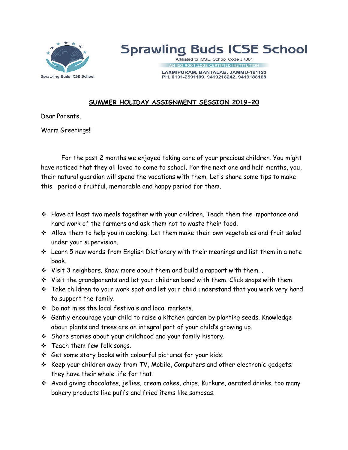

## **Sprawling Buds ICSE School**

Affiliated to ICSE, School Code JK001 ISO 9001:2008 CERTIFIED INSTITUTIO

LAXMIPURAM, BANTALAB, JAMMU-181123 PH. 0191-2591109, 9419218242, 9419188168

## **SUMMER HOLIDAY ASSIGNMENT SESSION 2019-20**

Dear Parents,

Warm Greetings!!

For the past 2 months we enjoyed taking care of your precious children. You might have noticed that they all loved to come to school. For the next one and half months, you, their natural guardian will spend the vacations with them. Let's share some tips to make this period a fruitful, memorable and happy period for them.

- Have at least two meals together with your children. Teach them the importance and hard work of the farmers and ask them not to waste their food.
- Allow them to help you in cooking. Let them make their own vegetables and fruit salad under your supervision.
- Learn 5 new words from English Dictionary with their meanings and list them in a note book.
- $\cdot$  Visit 3 neighbors. Know more about them and build a rapport with them..
- Visit the grandparents and let your children bond with them. Click snaps with them.
- Take children to your work spot and let your child understand that you work very hard to support the family.
- Do not miss the local festivals and local markets.
- Gently encourage your child to raise a kitchen garden by planting seeds. Knowledge about plants and trees are an integral part of your child's growing up.
- Share stories about your childhood and your family history.
- Teach them few folk songs.
- Get some story books with colourful pictures for your kids.
- $\cdot$  Keep your children away from TV, Mobile, Computers and other electronic gadgets; they have their whole life for that.
- Avoid giving chocolates, jellies, cream cakes, chips, Kurkure, aerated drinks, too many bakery products like puffs and fried items like samosas.